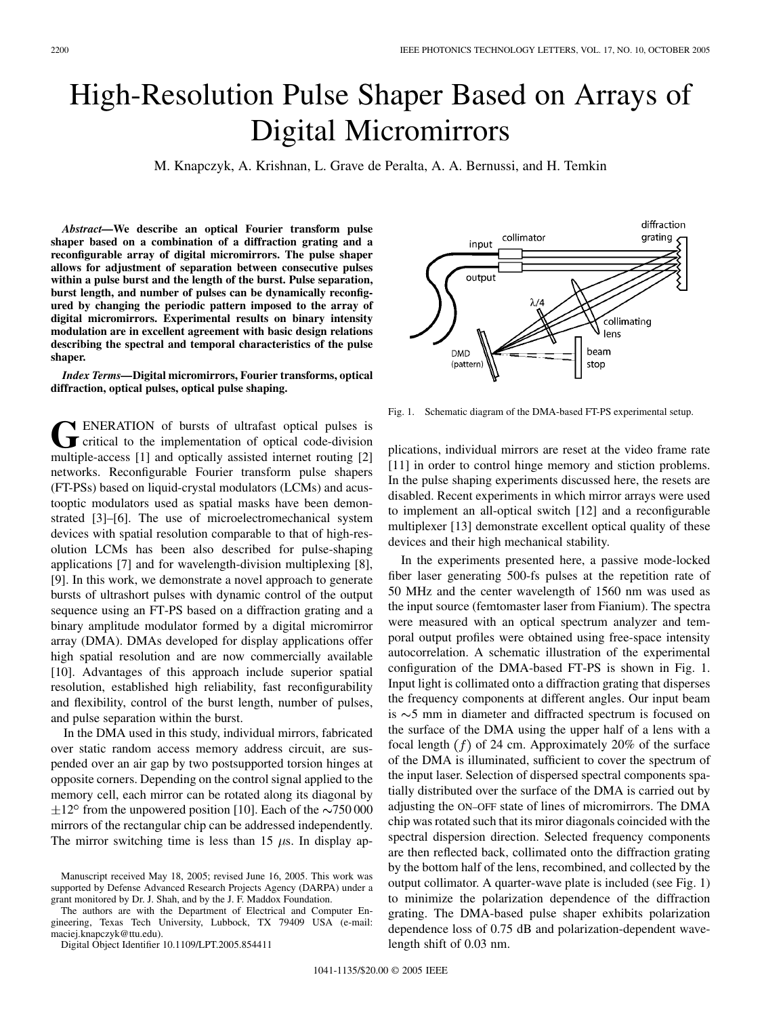## High-Resolution Pulse Shaper Based on Arrays of Digital Micromirrors

M. Knapczyk, A. Krishnan, L. Grave de Peralta, A. A. Bernussi, and H. Temkin

*Abstract—***We describe an optical Fourier transform pulse shaper based on a combination of a diffraction grating and a reconfigurable array of digital micromirrors. The pulse shaper allows for adjustment of separation between consecutive pulses within a pulse burst and the length of the burst. Pulse separation, burst length, and number of pulses can be dynamically reconfigured by changing the periodic pattern imposed to the array of digital micromirrors. Experimental results on binary intensity modulation are in excellent agreement with basic design relations describing the spectral and temporal characteristics of the pulse shaper.**

*Index Terms—***Digital micromirrors, Fourier transforms, optical diffraction, optical pulses, optical pulse shaping.**

GENERATION of bursts of ultrafast optical pulses is<br>
critical to the implementation of optical code-division<br>
multiple access [1] and optically existed international<br>
code: **N** ENERATION of bursts of ultrafast optical pulses is multiple-access [1] and optically assisted internet routing [2] networks. Reconfigurable Fourier transform pulse shapers (FT-PSs) based on liquid-crystal modulators (LCMs) and acustooptic modulators used as spatial masks have been demonstrated [3]–[6]. The use of microelectromechanical system devices with spatial resolution comparable to that of high-resolution LCMs has been also described for pulse-shaping applications [7] and for wavelength-division multiplexing [8], [9]. In this work, we demonstrate a novel approach to generate bursts of ultrashort pulses with dynamic control of the output sequence using an FT-PS based on a diffraction grating and a binary amplitude modulator formed by a digital micromirror array (DMA). DMAs developed for display applications offer high spatial resolution and are now commercially available [10]. Advantages of this approach include superior spatial resolution, established high reliability, fast reconfigurability and flexibility, control of the burst length, number of pulses, and pulse separation within the burst.

In the DMA used in this study, individual mirrors, fabricated over static random access memory address circuit, are suspended over an air gap by two postsupported torsion hinges at opposite corners. Depending on the control signal applied to the memory cell, each mirror can be rotated along its diagonal by  $\pm 12^{\circ}$  from the unpowered position [10]. Each of the  $\sim$ 750 000 mirrors of the rectangular chip can be addressed independently. The mirror switching time is less than 15  $\mu$ s. In display ap-

The authors are with the Department of Electrical and Computer Engineering, Texas Tech University, Lubbock, TX 79409 USA (e-mail: maciej.knapczyk@ttu.edu).

Digital Object Identifier 10.1109/LPT.2005.854411



Fig. 1. Schematic diagram of the DMA-based FT-PS experimental setup.

plications, individual mirrors are reset at the video frame rate [11] in order to control hinge memory and stiction problems. In the pulse shaping experiments discussed here, the resets are disabled. Recent experiments in which mirror arrays were used to implement an all-optical switch [12] and a reconfigurable multiplexer [13] demonstrate excellent optical quality of these devices and their high mechanical stability.

In the experiments presented here, a passive mode-locked fiber laser generating 500-fs pulses at the repetition rate of 50 MHz and the center wavelength of 1560 nm was used as the input source (femtomaster laser from Fianium). The spectra were measured with an optical spectrum analyzer and temporal output profiles were obtained using free-space intensity autocorrelation. A schematic illustration of the experimental configuration of the DMA-based FT-PS is shown in Fig. 1. Input light is collimated onto a diffraction grating that disperses the frequency components at different angles. Our input beam is  $\sim$  5 mm in diameter and diffracted spectrum is focused on the surface of the DMA using the upper half of a lens with a focal length  $(f)$  of 24 cm. Approximately 20% of the surface of the DMA is illuminated, sufficient to cover the spectrum of the input laser. Selection of dispersed spectral components spatially distributed over the surface of the DMA is carried out by adjusting the ON–OFF state of lines of micromirrors. The DMA chip was rotated such that its miror diagonals coincided with the spectral dispersion direction. Selected frequency components are then reflected back, collimated onto the diffraction grating by the bottom half of the lens, recombined, and collected by the output collimator. A quarter-wave plate is included (see Fig. 1) to minimize the polarization dependence of the diffraction grating. The DMA-based pulse shaper exhibits polarization dependence loss of 0.75 dB and polarization-dependent wavelength shift of 0.03 nm.

Manuscript received May 18, 2005; revised June 16, 2005. This work was supported by Defense Advanced Research Projects Agency (DARPA) under a grant monitored by Dr. J. Shah, and by the J. F. Maddox Foundation.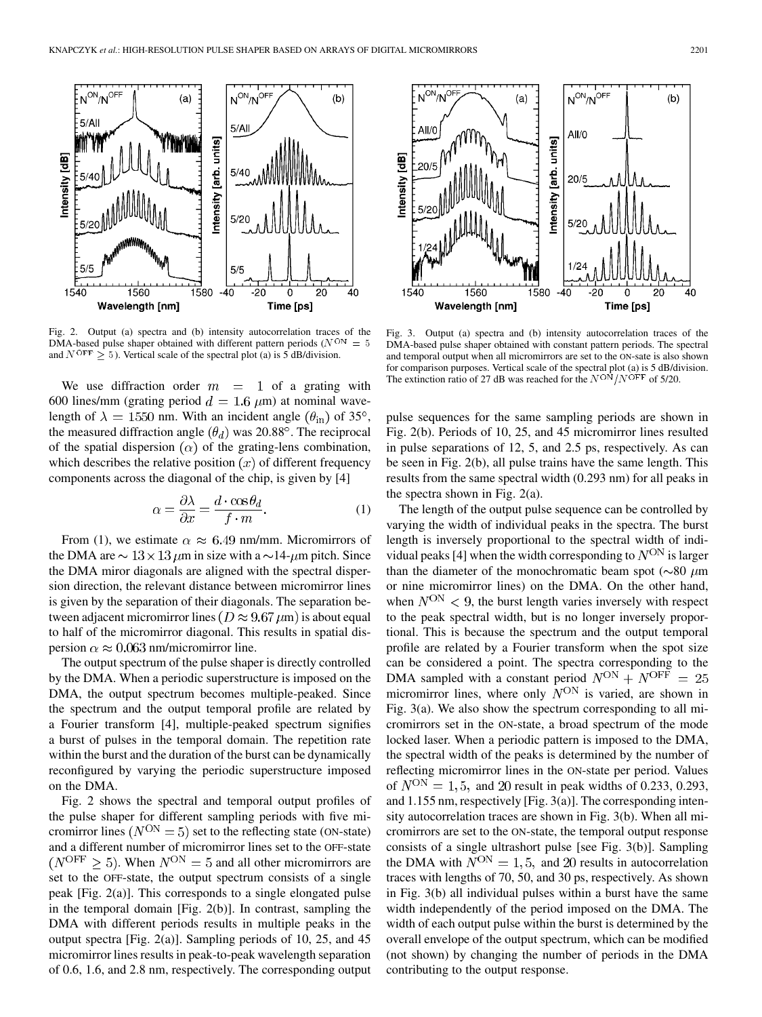

Fig. 2. Output (a) spectra and (b) intensity autocorrelation traces of the DMA-based pulse shaper obtained with different pattern periods ( $N^{ON} = 5$ and  $N^{\text{OFF}} \geq 5$ ). Vertical scale of the spectral plot (a) is 5 dB/division.

We use diffraction order  $m = 1$  of a grating with 600 lines/mm (grating period  $d = 1.6 \ \mu m$ ) at nominal wavelength of  $\lambda = 1550$  nm. With an incident angle  $(\theta_{\rm in})$  of 35°, the measured diffraction angle  $(\theta_d)$  was 20.88°. The reciprocal of the spatial dispersion  $(\alpha)$  of the grating-lens combination, which describes the relative position  $(x)$  of different frequency components across the diagonal of the chip, is given by [4]

$$
\alpha = \frac{\partial \lambda}{\partial x} = \frac{d \cdot \cos \theta_d}{f \cdot m}.
$$
 (1)

From (1), we estimate  $\alpha \approx 6.49$  nm/mm. Micromirrors of the DMA are  $\sim 13 \times 13 \ \mu m$  in size with a  $\sim 14$ - $\mu$ m pitch. Since the DMA miror diagonals are aligned with the spectral dispersion direction, the relevant distance between micromirror lines is given by the separation of their diagonals. The separation between adjacent micromirror lines ( $D \approx 9.67 \,\mu\text{m}$ ) is about equal to half of the micromirror diagonal. This results in spatial dispersion  $\alpha \approx 0.063$  nm/micromirror line.

The output spectrum of the pulse shaper is directly controlled by the DMA. When a periodic superstructure is imposed on the DMA, the output spectrum becomes multiple-peaked. Since the spectrum and the output temporal profile are related by a Fourier transform [4], multiple-peaked spectrum signifies a burst of pulses in the temporal domain. The repetition rate within the burst and the duration of the burst can be dynamically reconfigured by varying the periodic superstructure imposed on the DMA.

Fig. 2 shows the spectral and temporal output profiles of the pulse shaper for different sampling periods with five micromirror lines ( $N^{ON} = 5$ ) set to the reflecting state (ON-state) and a different number of micromirror lines set to the OFF-state  $(N^{\text{OFF}} \geq 5)$ . When  $N^{\text{ON}} = 5$  and all other micromirrors are set to the OFF-state, the output spectrum consists of a single peak [Fig. 2(a)]. This corresponds to a single elongated pulse in the temporal domain [Fig. 2(b)]. In contrast, sampling the DMA with different periods results in multiple peaks in the output spectra [Fig. 2(a)]. Sampling periods of 10, 25, and 45 micromirror lines results in peak-to-peak wavelength separation of 0.6, 1.6, and 2.8 nm, respectively. The corresponding output



Fig. 3. Output (a) spectra and (b) intensity autocorrelation traces of the DMA-based pulse shaper obtained with constant pattern periods. The spectral and temporal output when all micromirrors are set to the ON-sate is also shown for comparison purposes. Vertical scale of the spectral plot (a) is 5 dB/division. The extinction ratio of 27 dB was reached for the  $N^{O}N/N^{OFF}$  of 5/20.

pulse sequences for the same sampling periods are shown in Fig. 2(b). Periods of 10, 25, and 45 micromirror lines resulted in pulse separations of 12, 5, and 2.5 ps, respectively. As can be seen in Fig. 2(b), all pulse trains have the same length. This results from the same spectral width (0.293 nm) for all peaks in the spectra shown in Fig. 2(a).

The length of the output pulse sequence can be controlled by varying the width of individual peaks in the spectra. The burst length is inversely proportional to the spectral width of individual peaks [4] when the width corresponding to  $N^{ON}$  is larger than the diameter of the monochromatic beam spot ( $\sim 80 \ \mu m$ ) or nine micromirror lines) on the DMA. On the other hand, when  $N^{ON}$  < 9, the burst length varies inversely with respect to the peak spectral width, but is no longer inversely proportional. This is because the spectrum and the output temporal profile are related by a Fourier transform when the spot size can be considered a point. The spectra corresponding to the DMA sampled with a constant period  $N^{ON} + N^{OFF} = 25$ micromirror lines, where only  $N^{ON}$  is varied, are shown in Fig. 3(a). We also show the spectrum corresponding to all micromirrors set in the ON-state, a broad spectrum of the mode locked laser. When a periodic pattern is imposed to the DMA, the spectral width of the peaks is determined by the number of reflecting micromirror lines in the ON-state per period. Values of  $N^{ON} = 1, 5$ , and 20 result in peak widths of 0.233, 0.293, and 1.155 nm, respectively [Fig. 3(a)]. The corresponding intensity autocorrelation traces are shown in Fig. 3(b). When all micromirrors are set to the ON-state, the temporal output response consists of a single ultrashort pulse [see Fig. 3(b)]. Sampling the DMA with  $N^{ON} = 1, 5$ , and 20 results in autocorrelation traces with lengths of 70, 50, and 30 ps, respectively. As shown in Fig. 3(b) all individual pulses within a burst have the same width independently of the period imposed on the DMA. The width of each output pulse within the burst is determined by the overall envelope of the output spectrum, which can be modified (not shown) by changing the number of periods in the DMA contributing to the output response.